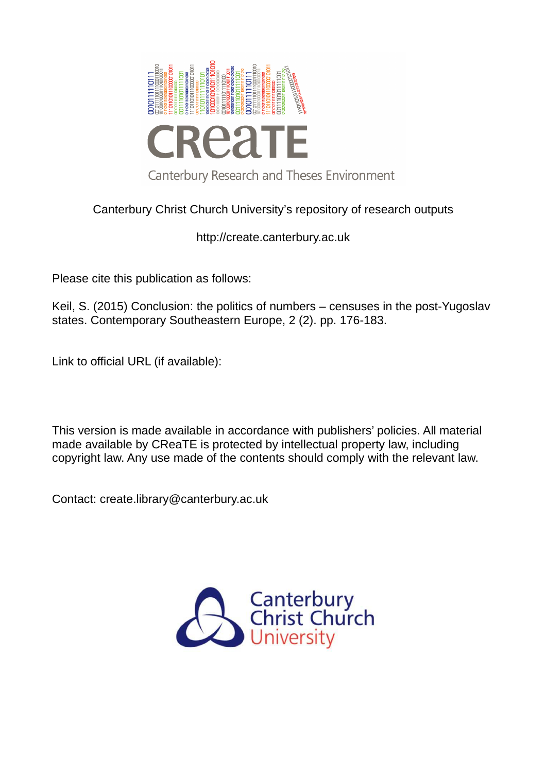

## Canterbury Christ Church University's repository of research outputs

http://create.canterbury.ac.uk

Please cite this publication as follows:

Keil, S. (2015) Conclusion: the politics of numbers – censuses in the post-Yugoslav states. Contemporary Southeastern Europe, 2 (2). pp. 176-183.

Link to official URL (if available):

This version is made available in accordance with publishers' policies. All material made available by CReaTE is protected by intellectual property law, including copyright law. Any use made of the contents should comply with the relevant law.

Contact: create.library@canterbury.ac.uk

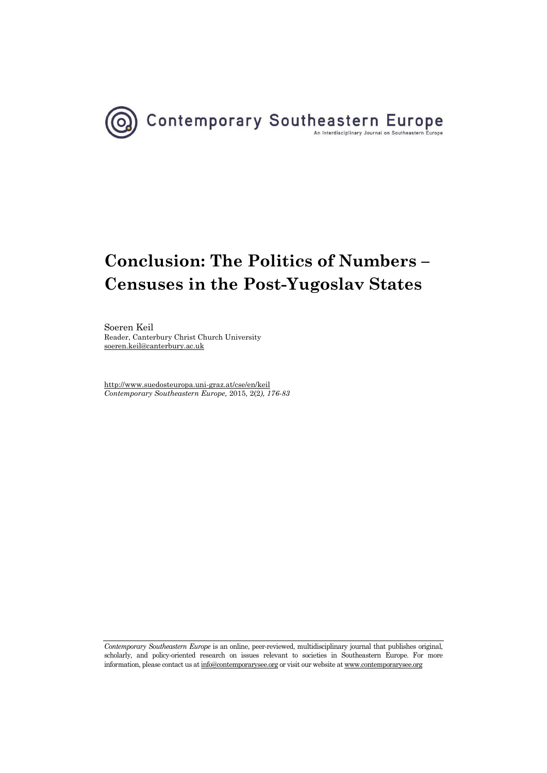

# **Conclusion: The Politics of Numbers – Censuses in the Post-Yugoslav States**

Soeren Keil Reader, Canterbury Christ Church University [soeren.keil@canterbury.ac.uk](mailto:soeren.keil@canterbury.ac.uk) 

<http://www.suedosteuropa.uni-graz.at/cse/en/keil> *Contemporary Southeastern Europe,* 2015, 2(2*), 176-83*

*Contemporary Southeastern Europe* is an online, peer-reviewed, multidisciplinary journal that publishes original, scholarly, and policy-oriented research on issues relevant to societies in Southeastern Europe. For more information, please contact us a[t info@contemporarysee.org o](mailto:info@contemporarysee.org)r visit our website a[t www.contemporarysee.org](http://www.contemporarysee.org/)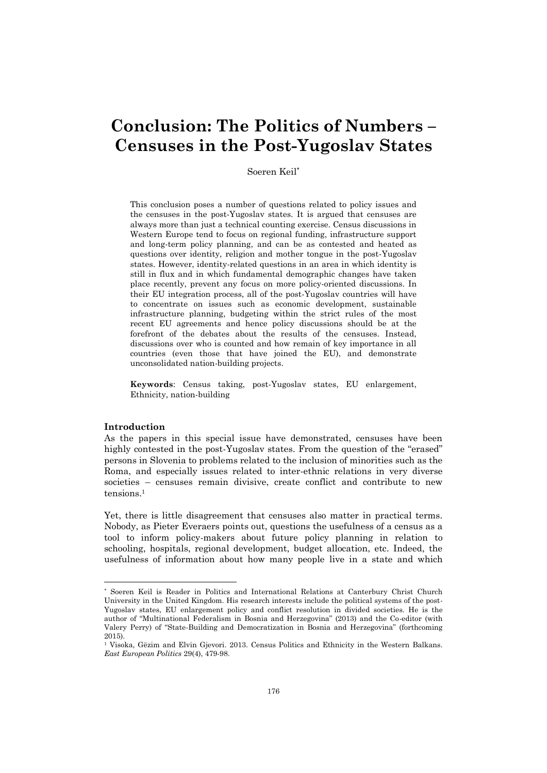# **Conclusion: The Politics of Numbers – Censuses in the Post-Yugoslav States**

Soeren Keil

This conclusion poses a number of questions related to policy issues and the censuses in the post-Yugoslav states. It is argued that censuses are always more than just a technical counting exercise. Census discussions in Western Europe tend to focus on regional funding, infrastructure support and long-term policy planning, and can be as contested and heated as questions over identity, religion and mother tongue in the post-Yugoslav states. However, identity-related questions in an area in which identity is still in flux and in which fundamental demographic changes have taken place recently, prevent any focus on more policy-oriented discussions. In their EU integration process, all of the post-Yugoslav countries will have to concentrate on issues such as economic development, sustainable infrastructure planning, budgeting within the strict rules of the most recent EU agreements and hence policy discussions should be at the forefront of the debates about the results of the censuses. Instead, discussions over who is counted and how remain of key importance in all countries (even those that have joined the EU), and demonstrate unconsolidated nation-building projects.

**Keywords**: Census taking, post-Yugoslav states, EU enlargement, Ethnicity, nation-building

#### **Introduction**

l

As the papers in this special issue have demonstrated, censuses have been highly contested in the post-Yugoslav states. From the question of the "erased" persons in Slovenia to problems related to the inclusion of minorities such as the Roma, and especially issues related to inter-ethnic relations in very diverse societies – censuses remain divisive, create conflict and contribute to new tensions.<sup>1</sup>

Yet, there is little disagreement that censuses also matter in practical terms. Nobody, as Pieter Everaers points out, questions the usefulness of a census as a tool to inform policy-makers about future policy planning in relation to schooling, hospitals, regional development, budget allocation, etc. Indeed, the usefulness of information about how many people live in a state and which

 Soeren Keil is Reader in Politics and International Relations at Canterbury Christ Church University in the United Kingdom. His research interests include the political systems of the post-Yugoslav states, EU enlargement policy and conflict resolution in divided societies. He is the author of "Multinational Federalism in Bosnia and Herzegovina" (2013) and the Co-editor (with Valery Perry) of "State-Building and Democratization in Bosnia and Herzegovina" (forthcoming 2015).

<sup>1</sup> Visoka, Gëzim and Elvin Gjevori. 2013. Census Politics and Ethnicity in the Western Balkans. *East European Politics* 29(4), 479-98.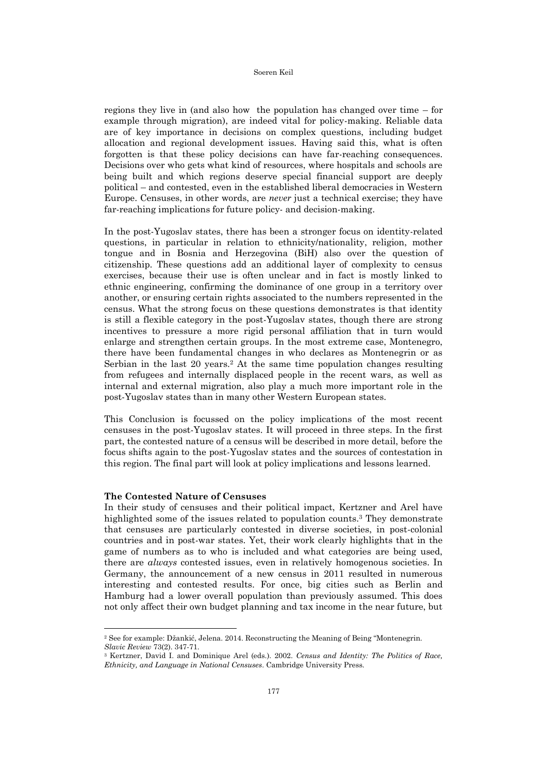regions they live in (and also how the population has changed over time – for example through migration), are indeed vital for policy-making. Reliable data are of key importance in decisions on complex questions, including budget allocation and regional development issues. Having said this, what is often forgotten is that these policy decisions can have far-reaching consequences. Decisions over who gets what kind of resources, where hospitals and schools are being built and which regions deserve special financial support are deeply political – and contested, even in the established liberal democracies in Western Europe. Censuses, in other words, are *never* just a technical exercise; they have far-reaching implications for future policy- and decision-making.

In the post-Yugoslav states, there has been a stronger focus on identity-related questions, in particular in relation to ethnicity/nationality, religion, mother tongue and in Bosnia and Herzegovina (BiH) also over the question of citizenship. These questions add an additional layer of complexity to census exercises, because their use is often unclear and in fact is mostly linked to ethnic engineering, confirming the dominance of one group in a territory over another, or ensuring certain rights associated to the numbers represented in the census. What the strong focus on these questions demonstrates is that identity is still a flexible category in the post-Yugoslav states, though there are strong incentives to pressure a more rigid personal affiliation that in turn would enlarge and strengthen certain groups. In the most extreme case, Montenegro, there have been fundamental changes in who declares as Montenegrin or as Serbian in the last 20 years.2 At the same time population changes resulting from refugees and internally displaced people in the recent wars, as well as internal and external migration, also play a much more important role in the post-Yugoslav states than in many other Western European states.

This Conclusion is focussed on the policy implications of the most recent censuses in the post-Yugoslav states. It will proceed in three steps. In the first part, the contested nature of a census will be described in more detail, before the focus shifts again to the post-Yugoslav states and the sources of contestation in this region. The final part will look at policy implications and lessons learned.

### **The Contested Nature of Censuses**

l

In their study of censuses and their political impact, Kertzner and Arel have highlighted some of the issues related to population counts.3 They demonstrate that censuses are particularly contested in diverse societies, in post-colonial countries and in post-war states. Yet, their work clearly highlights that in the game of numbers as to who is included and what categories are being used, there are *always* contested issues, even in relatively homogenous societies. In Germany, the announcement of a new census in 2011 resulted in numerous interesting and contested results. For once, big cities such as Berlin and Hamburg had a lower overall population than previously assumed. This does not only affect their own budget planning and tax income in the near future, but

<sup>2</sup> See for example: Džankić, Jelena. 2014. Reconstructing the Meaning of Being "Montenegrin. *Slavic Review* 73(2). 347-71.

<sup>3</sup> Kertzner, David I. and Dominique Arel (eds.). 2002. *Census and Identity: The Politics of Race, Ethnicity, and Language in National Censuses*. Cambridge University Press.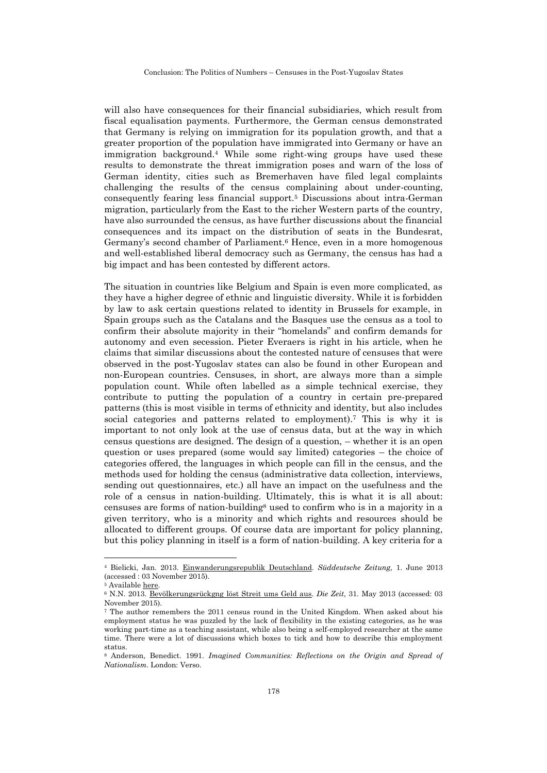Conclusion: The Politics of Numbers – Censuses in the Post-Yugoslav States

will also have consequences for their financial subsidiaries, which result from fiscal equalisation payments. Furthermore, the German census demonstrated that Germany is relying on immigration for its population growth, and that a greater proportion of the population have immigrated into Germany or have an immigration background.4 While some right-wing groups have used these results to demonstrate the threat immigration poses and warn of the loss of German identity, cities such as Bremerhaven have filed legal complaints challenging the results of the census complaining about under-counting, consequently fearing less financial support.5 Discussions about intra-German migration, particularly from the East to the richer Western parts of the country, have also surrounded the census, as have further discussions about the financial consequences and its impact on the distribution of seats in the Bundesrat, Germany's second chamber of Parliament.<sup>6</sup> Hence, even in a more homogenous and well-established liberal democracy such as Germany, the census has had a big impact and has been contested by different actors.

The situation in countries like Belgium and Spain is even more complicated, as they have a higher degree of ethnic and linguistic diversity. While it is forbidden by law to ask certain questions related to identity in Brussels for example, in Spain groups such as the Catalans and the Basques use the census as a tool to confirm their absolute majority in their "homelands" and confirm demands for autonomy and even secession. Pieter Everaers is right in his article, when he claims that similar discussions about the contested nature of censuses that were observed in the post-Yugoslav states can also be found in other European and non-European countries. Censuses, in short, are always more than a simple population count. While often labelled as a simple technical exercise, they contribute to putting the population of a country in certain pre-prepared patterns (this is most visible in terms of ethnicity and identity, but also includes social categories and patterns related to employment).7 This is why it is important to not only look at the use of census data, but at the way in which census questions are designed. The design of a question, – whether it is an open question or uses prepared (some would say limited) categories – the choice of categories offered, the languages in which people can fill in the census, and the methods used for holding the census (administrative data collection, interviews, sending out questionnaires, etc.) all have an impact on the usefulness and the role of a census in nation-building. Ultimately, this is what it is all about: censuses are forms of nation-building8 used to confirm who is in a majority in a given territory, who is a minority and which rights and resources should be allocated to different groups. Of course data are important for policy planning, but this policy planning in itself is a form of nation-building. A key criteria for a

 $\overline{a}$ 

<sup>4</sup> Bielicki, Jan. 2013. [Einwanderungsrepublik Deutschland.](http://www.sueddeutsche.de/politik/ergebnisse-des-zensus-einwanderungsrepublik-deutschland-1.1685632) *Süddeutsche Zeitung,* 1. June 2013 (accessed : 03 November 2015).

<sup>&</sup>lt;sup>5</sup> Availabl[e here.](https://www.zensus2011.de/SharedDocs/Aktuelles%20/Bremerhaven.html;jsessionid=376CD8AED2DC870A2C2DF0BAFA235B4C.2_cid389?nn=3065474/Bremerhaven.html;jsessionid=376CD8AED2DC870A2C2DF0BAFA235B4C.2_cid389?nn=3065474)

<sup>6</sup> N.N. 2013. [Bevölkerungsrückgng löst Streit ums Geld aus.](http://www.zeit.de/gesellschaft/zeitgeschehen/2013-05/volkszaehlung-zensus-deutschland-gesellschaft) *Die Zeit*, 31. May 2013 (accessed: 03 November 2015).

<sup>7</sup> The author remembers the 2011 census round in the United Kingdom. When asked about his employment status he was puzzled by the lack of flexibility in the existing categories, as he was working part-time as a teaching assistant, while also being a self-employed researcher at the same time. There were a lot of discussions which boxes to tick and how to describe this employment status.

<sup>8</sup> Anderson, Benedict. 1991. *Imagined Communities: Reflections on the Origin and Spread of Nationalism*. London: Verso.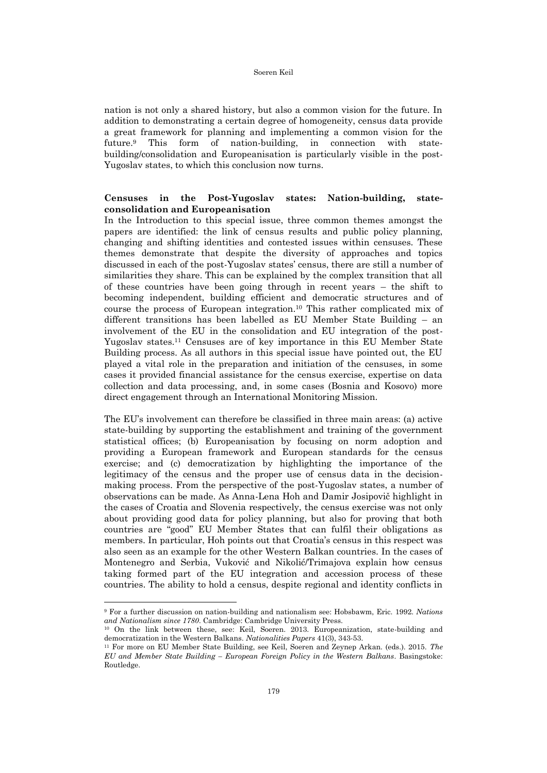nation is not only a shared history, but also a common vision for the future. In addition to demonstrating a certain degree of homogeneity, census data provide a great framework for planning and implementing a common vision for the future.9 This form of nation-building, in connection with statebuilding/consolidation and Europeanisation is particularly visible in the post-Yugoslav states, to which this conclusion now turns.

### **Censuses in the Post-Yugoslav states: Nation-building, stateconsolidation and Europeanisation**

In the Introduction to this special issue, three common themes amongst the papers are identified: the link of census results and public policy planning, changing and shifting identities and contested issues within censuses. These themes demonstrate that despite the diversity of approaches and topics discussed in each of the post-Yugoslav states' census, there are still a number of similarities they share. This can be explained by the complex transition that all of these countries have been going through in recent years – the shift to becoming independent, building efficient and democratic structures and of course the process of European integration.10 This rather complicated mix of different transitions has been labelled as EU Member State Building – an involvement of the EU in the consolidation and EU integration of the post-Yugoslav states.11 Censuses are of key importance in this EU Member State Building process. As all authors in this special issue have pointed out, the EU played a vital role in the preparation and initiation of the censuses, in some cases it provided financial assistance for the census exercise, expertise on data collection and data processing, and, in some cases (Bosnia and Kosovo) more direct engagement through an International Monitoring Mission.

The EU's involvement can therefore be classified in three main areas: (a) active state-building by supporting the establishment and training of the government statistical offices; (b) Europeanisation by focusing on norm adoption and providing a European framework and European standards for the census exercise; and (c) democratization by highlighting the importance of the legitimacy of the census and the proper use of census data in the decisionmaking process. From the perspective of the post-Yugoslav states, a number of observations can be made. As Anna-Lena Hoh and Damir Josipovič highlight in the cases of Croatia and Slovenia respectively, the census exercise was not only about providing good data for policy planning, but also for proving that both countries are "good" EU Member States that can fulfil their obligations as members. In particular, Hoh points out that Croatia's census in this respect was also seen as an example for the other Western Balkan countries. In the cases of Montenegro and Serbia, Vuković and Nikolić/Trimajova explain how census taking formed part of the EU integration and accession process of these countries. The ability to hold a census, despite regional and identity conflicts in

l

<sup>9</sup> For a further discussion on nation-building and nationalism see: Hobsbawm, Eric. 1992. *Nations and Nationalism since 1780*. Cambridge: Cambridge University Press.

<sup>10</sup> On the link between these, see: Keil, Soeren. 2013. Europeanization, state-building and democratization in the Western Balkans. *Nationalities Papers* 41(3), 343-53.

<sup>11</sup> For more on EU Member State Building, see Keil, Soeren and Zeynep Arkan. (eds.). 2015. *The EU and Member State Building – European Foreign Policy in the Western Balkans*. Basingstoke: Routledge.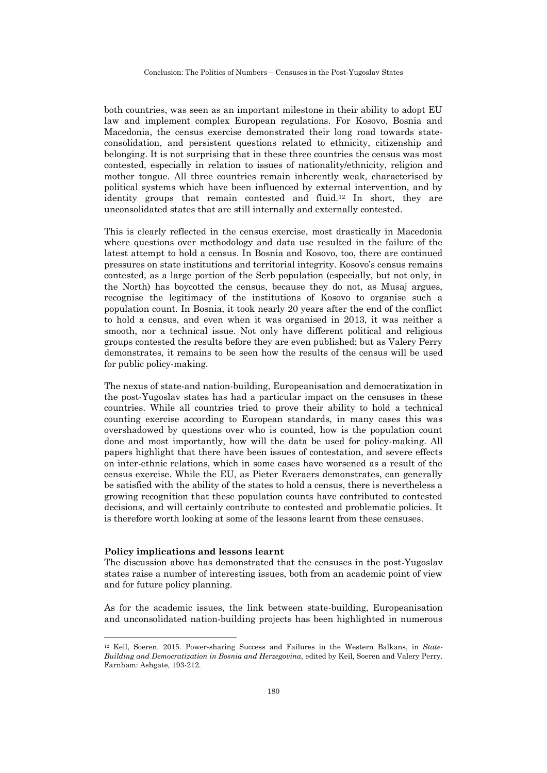both countries, was seen as an important milestone in their ability to adopt EU law and implement complex European regulations. For Kosovo, Bosnia and Macedonia, the census exercise demonstrated their long road towards stateconsolidation, and persistent questions related to ethnicity, citizenship and belonging. It is not surprising that in these three countries the census was most contested, especially in relation to issues of nationality/ethnicity, religion and mother tongue. All three countries remain inherently weak, characterised by political systems which have been influenced by external intervention, and by identity groups that remain contested and fluid.12 In short, they are unconsolidated states that are still internally and externally contested.

This is clearly reflected in the census exercise, most drastically in Macedonia where questions over methodology and data use resulted in the failure of the latest attempt to hold a census. In Bosnia and Kosovo, too, there are continued pressures on state institutions and territorial integrity. Kosovo's census remains contested, as a large portion of the Serb population (especially, but not only, in the North) has boycotted the census, because they do not, as Musaj argues, recognise the legitimacy of the institutions of Kosovo to organise such a population count. In Bosnia, it took nearly 20 years after the end of the conflict to hold a census, and even when it was organised in 2013, it was neither a smooth, nor a technical issue. Not only have different political and religious groups contested the results before they are even published; but as Valery Perry demonstrates, it remains to be seen how the results of the census will be used for public policy-making.

The nexus of state-and nation-building, Europeanisation and democratization in the post-Yugoslav states has had a particular impact on the censuses in these countries. While all countries tried to prove their ability to hold a technical counting exercise according to European standards, in many cases this was overshadowed by questions over who is counted, how is the population count done and most importantly, how will the data be used for policy-making. All papers highlight that there have been issues of contestation, and severe effects on inter-ethnic relations, which in some cases have worsened as a result of the census exercise. While the EU, as Pieter Everaers demonstrates, can generally be satisfied with the ability of the states to hold a census, there is nevertheless a growing recognition that these population counts have contributed to contested decisions, and will certainly contribute to contested and problematic policies. It is therefore worth looking at some of the lessons learnt from these censuses.

#### **Policy implications and lessons learnt**

 $\overline{a}$ 

The discussion above has demonstrated that the censuses in the post-Yugoslav states raise a number of interesting issues, both from an academic point of view and for future policy planning.

As for the academic issues, the link between state-building, Europeanisation and unconsolidated nation-building projects has been highlighted in numerous

<sup>12</sup> Keil, Soeren. 2015. Power-sharing Success and Failures in the Western Balkans, in *State-Building and Democratization in Bosnia and Herzegovina*, edited by Keil, Soeren and Valery Perry. Farnham: Ashgate, 193-212.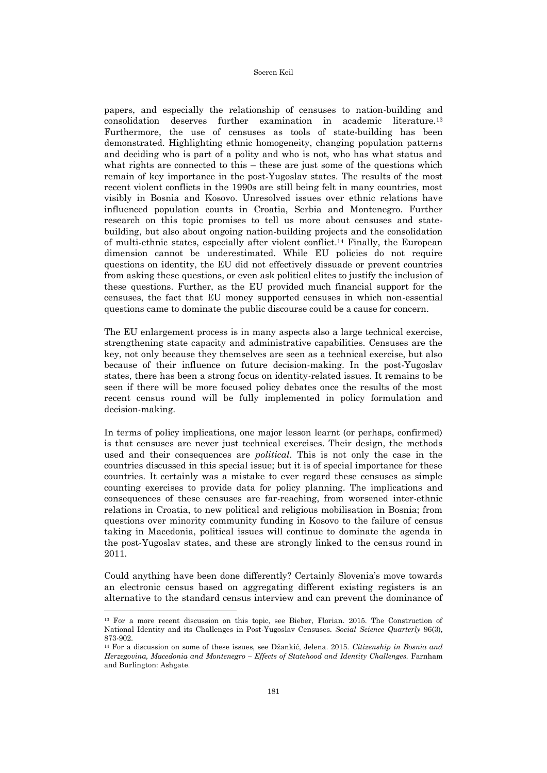papers, and especially the relationship of censuses to nation-building and consolidation deserves further examination in academic literature.<sup>13</sup> Furthermore, the use of censuses as tools of state-building has been demonstrated. Highlighting ethnic homogeneity, changing population patterns and deciding who is part of a polity and who is not, who has what status and what rights are connected to this – these are just some of the questions which remain of key importance in the post-Yugoslav states. The results of the most recent violent conflicts in the 1990s are still being felt in many countries, most visibly in Bosnia and Kosovo. Unresolved issues over ethnic relations have influenced population counts in Croatia, Serbia and Montenegro. Further research on this topic promises to tell us more about censuses and statebuilding, but also about ongoing nation-building projects and the consolidation of multi-ethnic states, especially after violent conflict.14 Finally, the European dimension cannot be underestimated. While EU policies do not require questions on identity, the EU did not effectively dissuade or prevent countries from asking these questions, or even ask political elites to justify the inclusion of these questions. Further, as the EU provided much financial support for the censuses, the fact that EU money supported censuses in which non-essential questions came to dominate the public discourse could be a cause for concern.

The EU enlargement process is in many aspects also a large technical exercise, strengthening state capacity and administrative capabilities. Censuses are the key, not only because they themselves are seen as a technical exercise, but also because of their influence on future decision-making. In the post-Yugoslav states, there has been a strong focus on identity-related issues. It remains to be seen if there will be more focused policy debates once the results of the most recent census round will be fully implemented in policy formulation and decision-making.

In terms of policy implications, one major lesson learnt (or perhaps, confirmed) is that censuses are never just technical exercises. Their design, the methods used and their consequences are *political*. This is not only the case in the countries discussed in this special issue; but it is of special importance for these countries. It certainly was a mistake to ever regard these censuses as simple counting exercises to provide data for policy planning. The implications and consequences of these censuses are far-reaching, from worsened inter-ethnic relations in Croatia, to new political and religious mobilisation in Bosnia; from questions over minority community funding in Kosovo to the failure of census taking in Macedonia, political issues will continue to dominate the agenda in the post-Yugoslav states, and these are strongly linked to the census round in 2011.

Could anything have been done differently? Certainly Slovenia's move towards an electronic census based on aggregating different existing registers is an alternative to the standard census interview and can prevent the dominance of l

<sup>&</sup>lt;sup>13</sup> For a more recent discussion on this topic, see Bieber, Florian. 2015. The Construction of National Identity and its Challenges in Post-Yugoslav Censuses. *Social Science Quarterly* 96(3), 873-902.

<sup>14</sup> For a discussion on some of these issues, see Džankić, Jelena. 2015. *Citizenship in Bosnia and Herzegovina, Macedonia and Montenegro – Effects of Statehood and Identity Challenges.* Farnham and Burlington: Ashgate.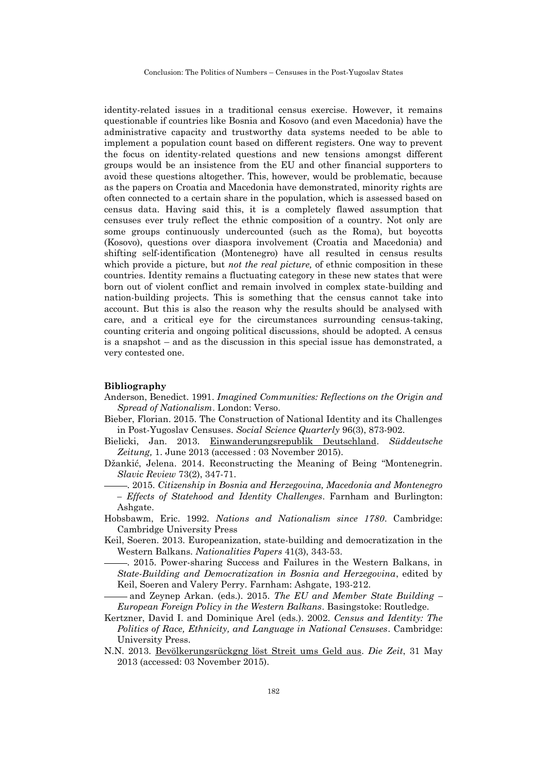Conclusion: The Politics of Numbers – Censuses in the Post-Yugoslav States

identity-related issues in a traditional census exercise. However, it remains questionable if countries like Bosnia and Kosovo (and even Macedonia) have the administrative capacity and trustworthy data systems needed to be able to implement a population count based on different registers. One way to prevent the focus on identity-related questions and new tensions amongst different groups would be an insistence from the EU and other financial supporters to avoid these questions altogether. This, however, would be problematic, because as the papers on Croatia and Macedonia have demonstrated, minority rights are often connected to a certain share in the population, which is assessed based on census data. Having said this, it is a completely flawed assumption that censuses ever truly reflect the ethnic composition of a country. Not only are some groups continuously undercounted (such as the Roma), but boycotts (Kosovo), questions over diaspora involvement (Croatia and Macedonia) and shifting self-identification (Montenegro) have all resulted in census results which provide a picture, but *not the real picture*, of ethnic composition in these countries. Identity remains a fluctuating category in these new states that were born out of violent conflict and remain involved in complex state-building and nation-building projects. This is something that the census cannot take into account. But this is also the reason why the results should be analysed with care, and a critical eye for the circumstances surrounding census-taking, counting criteria and ongoing political discussions, should be adopted. A census is a snapshot – and as the discussion in this special issue has demonstrated, a very contested one.

#### **Bibliography**

- Anderson, Benedict. 1991. *Imagined Communities: Reflections on the Origin and Spread of Nationalism*. London: Verso.
- Bieber, Florian. 2015. The Construction of National Identity and its Challenges in Post-Yugoslav Censuses. *Social Science Quarterly* 96(3), 873-902.
- Bielicki, Jan. 2013. [Einwanderungsrepublik Deutschland.](http://www.sueddeutsche.de/politik/ergebnisse-des-zensus-einwanderungsrepublik-deutschland-1.1685632) *Süddeutsche Zeitung,* 1. June 2013 (accessed : 03 November 2015).
- Džankić, Jelena. 2014. Reconstructing the Meaning of Being "Montenegrin. *Slavic Review* 73(2), 347-71.
- . 2015. *Citizenship in Bosnia and Herzegovina, Macedonia and Montenegro – Effects of Statehood and Identity Challenges*. Farnham and Burlington: Ashgate.
- Hobsbawm, Eric. 1992. *Nations and Nationalism since 1780*. Cambridge: Cambridge University Press
- Keil, Soeren. 2013. Europeanization, state-building and democratization in the Western Balkans. *Nationalities Papers* 41(3), 343-53.

 . 2015. Power-sharing Success and Failures in the Western Balkans, in *State-Building and Democratization in Bosnia and Herzegovina*, edited by Keil, Soeren and Valery Perry. Farnham: Ashgate, 193-212.

 and Zeynep Arkan. (eds.). 2015. *The EU and Member State Building – European Foreign Policy in the Western Balkans*. Basingstoke: Routledge.

- Kertzner, David I. and Dominique Arel (eds.). 2002. *Census and Identity: The Politics of Race, Ethnicity, and Language in National Censuses*. Cambridge: University Press.
- N.N. 2013. [Bevölkerungsrückgng löst Streit ums Geld aus.](http://www.zeit.de/gesellschaft/zeitgeschehen/2013-05/volkszaehlung-zensus-deutschland-gesellschaft) *Die Zeit*, 31 May 2013 (accessed: 03 November 2015).